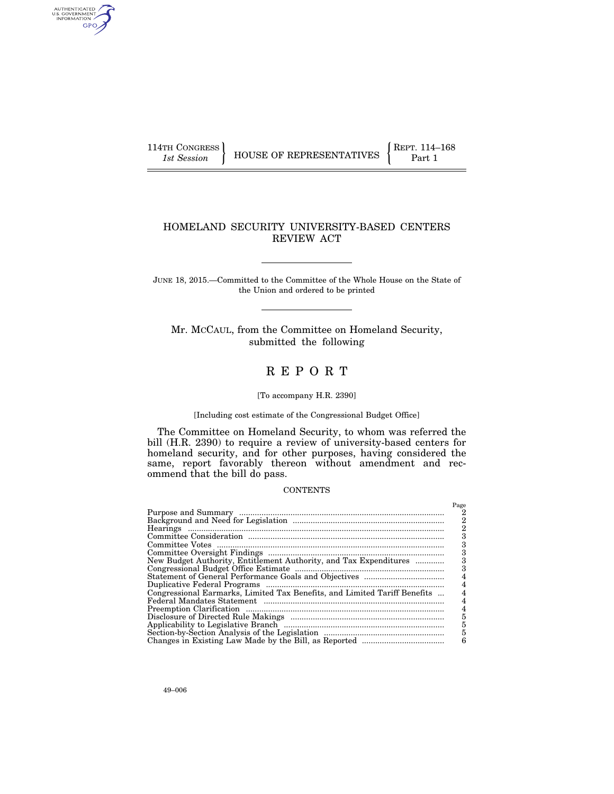AUTHENTICATED<br>U.S. GOVERNMENT<br>INFORMATION GPO

### HOMELAND SECURITY UNIVERSITY-BASED CENTERS REVIEW ACT

JUNE 18, 2015.—Committed to the Committee of the Whole House on the State of the Union and ordered to be printed

Mr. MCCAUL, from the Committee on Homeland Security, submitted the following

## R E P O R T

### [To accompany H.R. 2390]

#### [Including cost estimate of the Congressional Budget Office]

The Committee on Homeland Security, to whom was referred the bill (H.R. 2390) to require a review of university-based centers for homeland security, and for other purposes, having considered the same, report favorably thereon without amendment and recommend that the bill do pass.

#### **CONTENTS**

|                                                                           | Page |
|---------------------------------------------------------------------------|------|
|                                                                           |      |
|                                                                           | 2    |
|                                                                           |      |
|                                                                           |      |
|                                                                           |      |
|                                                                           |      |
| New Budget Authority, Entitlement Authority, and Tax Expenditures         |      |
|                                                                           |      |
|                                                                           |      |
|                                                                           |      |
| Congressional Earmarks, Limited Tax Benefits, and Limited Tariff Benefits |      |
|                                                                           |      |
|                                                                           |      |
|                                                                           | 5    |
|                                                                           | 5    |
|                                                                           | 5    |
|                                                                           | 6    |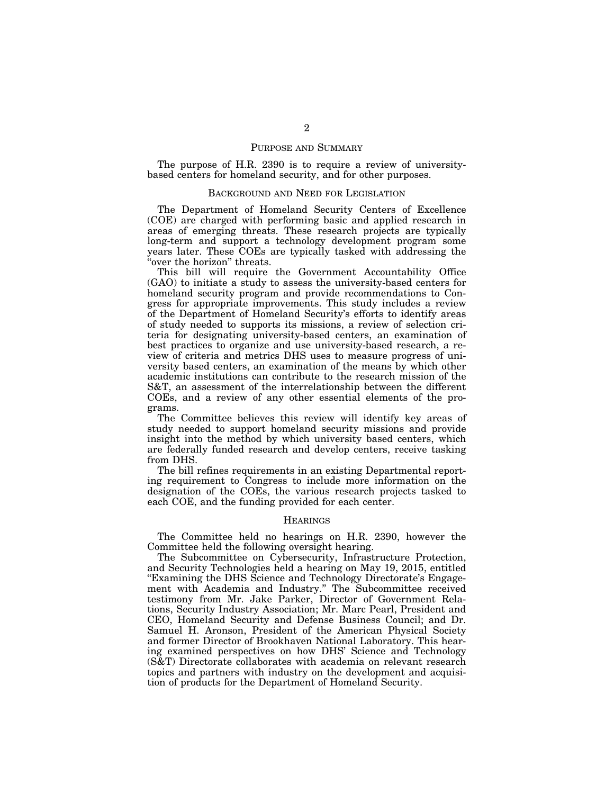#### PURPOSE AND SUMMARY

The purpose of H.R. 2390 is to require a review of universitybased centers for homeland security, and for other purposes.

#### BACKGROUND AND NEED FOR LEGISLATION

The Department of Homeland Security Centers of Excellence (COE) are charged with performing basic and applied research in areas of emerging threats. These research projects are typically long-term and support a technology development program some years later. These COEs are typically tasked with addressing the 'over the horizon" threats.

This bill will require the Government Accountability Office (GAO) to initiate a study to assess the university-based centers for homeland security program and provide recommendations to Congress for appropriate improvements. This study includes a review of the Department of Homeland Security's efforts to identify areas of study needed to supports its missions, a review of selection criteria for designating university-based centers, an examination of best practices to organize and use university-based research, a review of criteria and metrics DHS uses to measure progress of university based centers, an examination of the means by which other academic institutions can contribute to the research mission of the S&T, an assessment of the interrelationship between the different COEs, and a review of any other essential elements of the programs.

The Committee believes this review will identify key areas of study needed to support homeland security missions and provide insight into the method by which university based centers, which are federally funded research and develop centers, receive tasking from DHS.

The bill refines requirements in an existing Departmental reporting requirement to Congress to include more information on the designation of the COEs, the various research projects tasked to each COE, and the funding provided for each center.

#### **HEARINGS**

The Committee held no hearings on H.R. 2390, however the Committee held the following oversight hearing.

The Subcommittee on Cybersecurity, Infrastructure Protection, and Security Technologies held a hearing on May 19, 2015, entitled "Examining the DHS Science and Technology Directorate's Engagement with Academia and Industry.'' The Subcommittee received testimony from Mr. Jake Parker, Director of Government Relations, Security Industry Association; Mr. Marc Pearl, President and CEO, Homeland Security and Defense Business Council; and Dr. Samuel H. Aronson, President of the American Physical Society and former Director of Brookhaven National Laboratory. This hearing examined perspectives on how DHS' Science and Technology (S&T) Directorate collaborates with academia on relevant research topics and partners with industry on the development and acquisition of products for the Department of Homeland Security.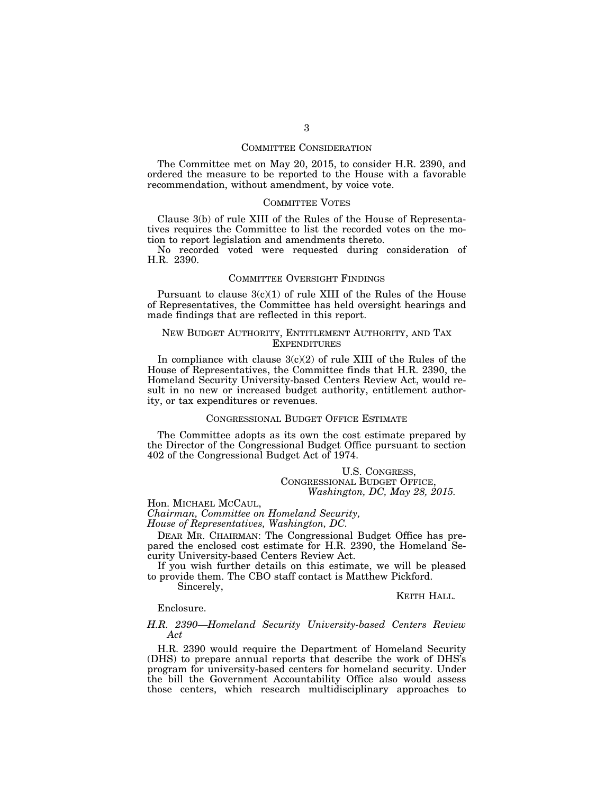#### COMMITTEE CONSIDERATION

The Committee met on May 20, 2015, to consider H.R. 2390, and ordered the measure to be reported to the House with a favorable recommendation, without amendment, by voice vote.

#### COMMITTEE VOTES

Clause 3(b) of rule XIII of the Rules of the House of Representatives requires the Committee to list the recorded votes on the motion to report legislation and amendments thereto.

No recorded voted were requested during consideration of H.R. 2390.

#### COMMITTEE OVERSIGHT FINDINGS

Pursuant to clause  $3(c)(1)$  of rule XIII of the Rules of the House of Representatives, the Committee has held oversight hearings and made findings that are reflected in this report.

#### NEW BUDGET AUTHORITY, ENTITLEMENT AUTHORITY, AND TAX **EXPENDITURES**

In compliance with clause 3(c)(2) of rule XIII of the Rules of the House of Representatives, the Committee finds that H.R. 2390, the Homeland Security University-based Centers Review Act, would result in no new or increased budget authority, entitlement authority, or tax expenditures or revenues.

### CONGRESSIONAL BUDGET OFFICE ESTIMATE

The Committee adopts as its own the cost estimate prepared by the Director of the Congressional Budget Office pursuant to section 402 of the Congressional Budget Act of 1974.

> U.S. CONGRESS, CONGRESSIONAL BUDGET OFFICE, *Washington, DC, May 28, 2015.*

Hon. MICHAEL MCCAUL,

*Chairman, Committee on Homeland Security, House of Representatives, Washington, DC.* 

DEAR MR. CHAIRMAN: The Congressional Budget Office has prepared the enclosed cost estimate for H.R. 2390, the Homeland Security University-based Centers Review Act.

If you wish further details on this estimate, we will be pleased to provide them. The CBO staff contact is Matthew Pickford.

Sincerely,

KEITH HALL*.* 

#### Enclosure.

#### *H.R. 2390—Homeland Security University-based Centers Review Act*

H.R. 2390 would require the Department of Homeland Security (DHS) to prepare annual reports that describe the work of DHS's program for university-based centers for homeland security. Under the bill the Government Accountability Office also would assess those centers, which research multidisciplinary approaches to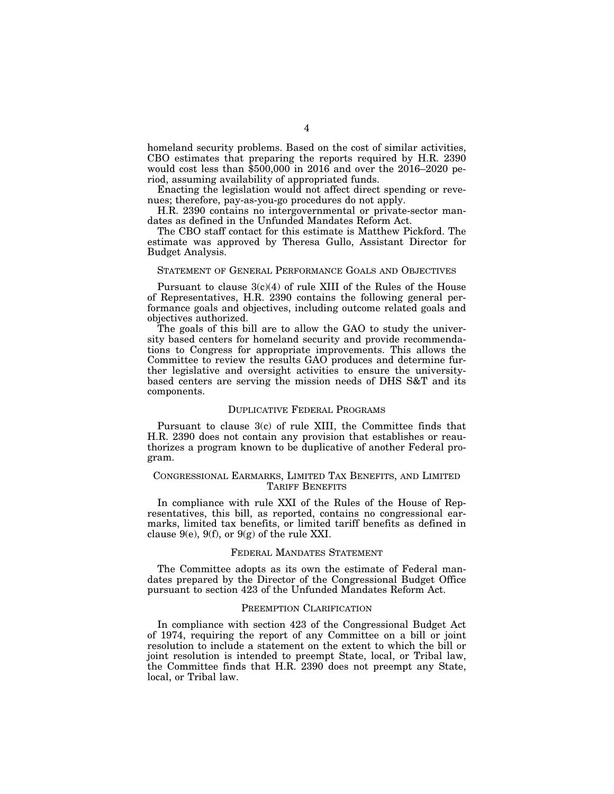homeland security problems. Based on the cost of similar activities, CBO estimates that preparing the reports required by H.R. 2390 would cost less than \$500,000 in 2016 and over the 2016–2020 period, assuming availability of appropriated funds.

Enacting the legislation would not affect direct spending or revenues; therefore, pay-as-you-go procedures do not apply.

H.R. 2390 contains no intergovernmental or private-sector mandates as defined in the Unfunded Mandates Reform Act.

The CBO staff contact for this estimate is Matthew Pickford. The estimate was approved by Theresa Gullo, Assistant Director for Budget Analysis.

#### STATEMENT OF GENERAL PERFORMANCE GOALS AND OBJECTIVES

Pursuant to clause  $3(c)(4)$  of rule XIII of the Rules of the House of Representatives, H.R. 2390 contains the following general performance goals and objectives, including outcome related goals and objectives authorized.

The goals of this bill are to allow the GAO to study the university based centers for homeland security and provide recommendations to Congress for appropriate improvements. This allows the Committee to review the results GAO produces and determine further legislative and oversight activities to ensure the universitybased centers are serving the mission needs of DHS S&T and its components.

#### DUPLICATIVE FEDERAL PROGRAMS

Pursuant to clause 3(c) of rule XIII, the Committee finds that H.R. 2390 does not contain any provision that establishes or reauthorizes a program known to be duplicative of another Federal program.

#### CONGRESSIONAL EARMARKS, LIMITED TAX BENEFITS, AND LIMITED TARIFF BENEFITS

In compliance with rule XXI of the Rules of the House of Representatives, this bill, as reported, contains no congressional earmarks, limited tax benefits, or limited tariff benefits as defined in clause  $9(e)$ ,  $9(f)$ , or  $9(g)$  of the rule XXI.

#### FEDERAL MANDATES STATEMENT

The Committee adopts as its own the estimate of Federal mandates prepared by the Director of the Congressional Budget Office pursuant to section 423 of the Unfunded Mandates Reform Act.

#### PREEMPTION CLARIFICATION

In compliance with section 423 of the Congressional Budget Act of 1974, requiring the report of any Committee on a bill or joint resolution to include a statement on the extent to which the bill or joint resolution is intended to preempt State, local, or Tribal law, the Committee finds that H.R. 2390 does not preempt any State, local, or Tribal law.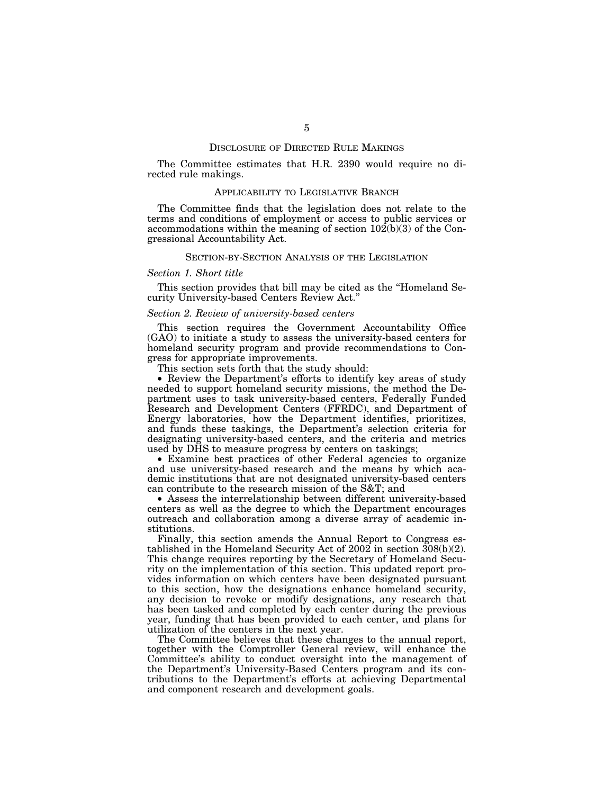#### DISCLOSURE OF DIRECTED RULE MAKINGS

The Committee estimates that H.R. 2390 would require no directed rule makings.

#### APPLICABILITY TO LEGISLATIVE BRANCH

The Committee finds that the legislation does not relate to the terms and conditions of employment or access to public services or accommodations within the meaning of section  $10\overline{2(b)}(3)$  of the Congressional Accountability Act.

#### SECTION-BY-SECTION ANALYSIS OF THE LEGISLATION

#### *Section 1. Short title*

This section provides that bill may be cited as the ''Homeland Security University-based Centers Review Act.''

#### *Section 2. Review of university-based centers*

This section requires the Government Accountability Office (GAO) to initiate a study to assess the university-based centers for homeland security program and provide recommendations to Congress for appropriate improvements.

This section sets forth that the study should:

• Review the Department's efforts to identify key areas of study needed to support homeland security missions, the method the Department uses to task university-based centers, Federally Funded Research and Development Centers (FFRDC), and Department of Energy laboratories, how the Department identifies, prioritizes, and funds these taskings, the Department's selection criteria for designating university-based centers, and the criteria and metrics used by DHS to measure progress by centers on taskings;

• Examine best practices of other Federal agencies to organize and use university-based research and the means by which academic institutions that are not designated university-based centers can contribute to the research mission of the S&T; and

• Assess the interrelationship between different university-based centers as well as the degree to which the Department encourages outreach and collaboration among a diverse array of academic institutions.

Finally, this section amends the Annual Report to Congress established in the Homeland Security Act of 2002 in section  $\frac{308(b)(2)}{2}$ . This change requires reporting by the Secretary of Homeland Security on the implementation of this section. This updated report provides information on which centers have been designated pursuant to this section, how the designations enhance homeland security, any decision to revoke or modify designations, any research that has been tasked and completed by each center during the previous year, funding that has been provided to each center, and plans for utilization of the centers in the next year.

The Committee believes that these changes to the annual report, together with the Comptroller General review, will enhance the Committee's ability to conduct oversight into the management of the Department's University-Based Centers program and its contributions to the Department's efforts at achieving Departmental and component research and development goals.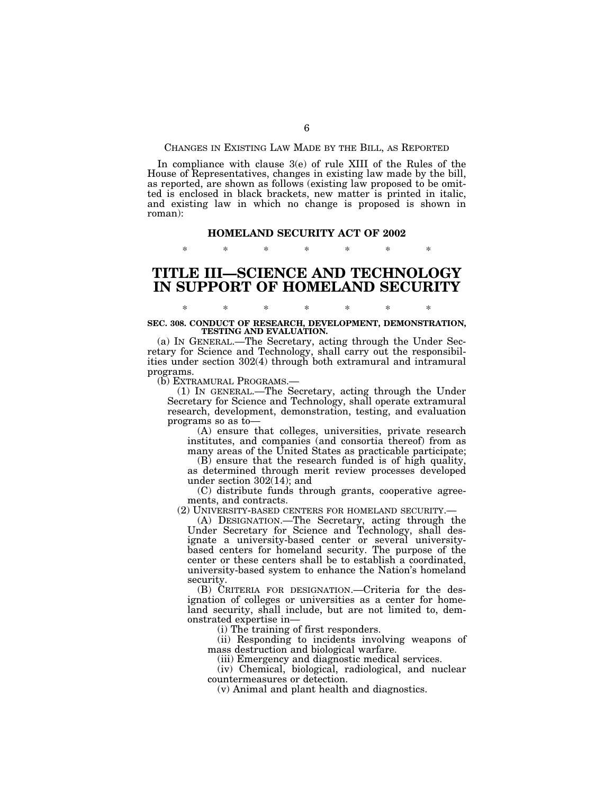#### CHANGES IN EXISTING LAW MADE BY THE BILL, AS REPORTED

In compliance with clause 3(e) of rule XIII of the Rules of the House of Representatives, changes in existing law made by the bill, as reported, are shown as follows (existing law proposed to be omitted is enclosed in black brackets, new matter is printed in italic, and existing law in which no change is proposed is shown in roman):

#### **HOMELAND SECURITY ACT OF 2002**

\* \* \* \* \* \* \*

## **TITLE III—SCIENCE AND TECHNOLOGY IN SUPPORT OF HOMELAND SECURITY**

# \* \* \* \* \* \* \* **SEC. 308. CONDUCT OF RESEARCH, DEVELOPMENT, DEMONSTRATION, TESTING AND EVALUATION.**

(a) IN GENERAL.—The Secretary, acting through the Under Secretary for Science and Technology, shall carry out the responsibilities under section 302(4) through both extramural and intramural programs.<br>(b) EXTRAMURAL PROGRAMS.-

(b) EXTRAMURAL PROGRAMS.— (1) IN GENERAL.—The Secretary, acting through the Under Secretary for Science and Technology, shall operate extramural research, development, demonstration, testing, and evaluation programs so as to—

(A) ensure that colleges, universities, private research institutes, and companies (and consortia thereof) from as many areas of the United States as practicable participate;

(B) ensure that the research funded is of high quality, as determined through merit review processes developed under section 302(14); and

(C) distribute funds through grants, cooperative agreements, and contracts.<br>(2) UNIVERSITY-BASED CENTERS FOR HOMELAND SECURITY.—

(A) DESIGNATION.—The Secretary, acting through the Under Secretary for Science and Technology, shall designate a university-based center or several universitybased centers for homeland security. The purpose of the center or these centers shall be to establish a coordinated, university-based system to enhance the Nation's homeland security.

(B) CRITERIA FOR DESIGNATION.—Criteria for the designation of colleges or universities as a center for homeland security, shall include, but are not limited to, demonstrated expertise in—

(i) The training of first responders.

(ii) Responding to incidents involving weapons of mass destruction and biological warfare.

(iii) Emergency and diagnostic medical services.

(iv) Chemical, biological, radiological, and nuclear countermeasures or detection.

(v) Animal and plant health and diagnostics.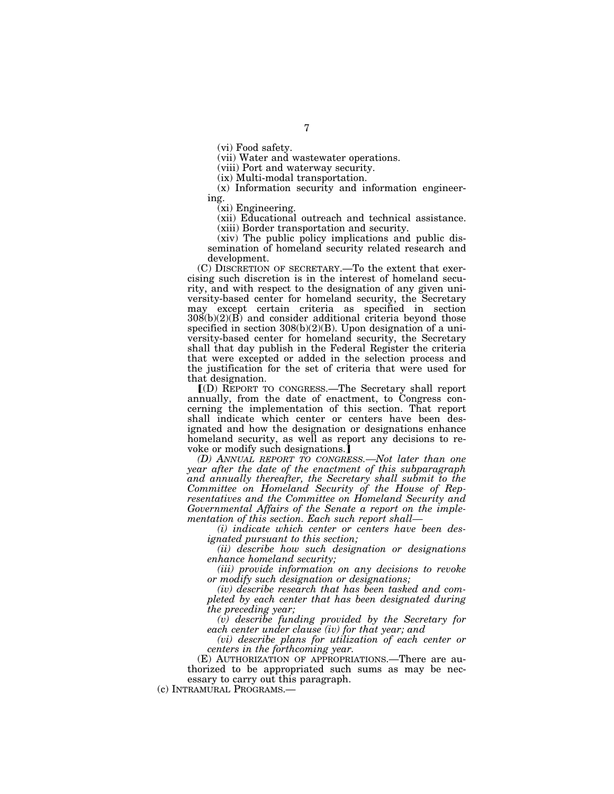(vi) Food safety.

(vii) Water and wastewater operations.

(viii) Port and waterway security.

(ix) Multi-modal transportation.

(x) Information security and information engineering.

 $(xi)$  Engineering.

(xii) Educational outreach and technical assistance.

(xiii) Border transportation and security.

(xiv) The public policy implications and public dissemination of homeland security related research and development.

(C) DISCRETION OF SECRETARY.—To the extent that exercising such discretion is in the interest of homeland security, and with respect to the designation of any given university-based center for homeland security, the Secretary may except certain criteria as specified in section  $308(b)(2)(B)$  and consider additional criteria beyond those specified in section 308(b)(2)(B). Upon designation of a university-based center for homeland security, the Secretary shall that day publish in the Federal Register the criteria that were excepted or added in the selection process and the justification for the set of criteria that were used for that designation.

ø(D) REPORT TO CONGRESS.—The Secretary shall report annually, from the date of enactment, to Congress concerning the implementation of this section. That report shall indicate which center or centers have been designated and how the designation or designations enhance homeland security, as well as report any decisions to re-voke or modify such designations.¿

*(D) ANNUAL REPORT TO CONGRESS.—Not later than one year after the date of the enactment of this subparagraph*  and annually thereafter, the Secretary shall submit to the *Committee on Homeland Security of the House of Representatives and the Committee on Homeland Security and Governmental Affairs of the Senate a report on the implementation of this section. Each such report shall—* 

*(i) indicate which center or centers have been designated pursuant to this section;* 

*(ii) describe how such designation or designations enhance homeland security;* 

*(iii) provide information on any decisions to revoke or modify such designation or designations;* 

*(iv) describe research that has been tasked and completed by each center that has been designated during the preceding year;* 

*(v) describe funding provided by the Secretary for each center under clause (iv) for that year; and* 

*(vi) describe plans for utilization of each center or centers in the forthcoming year.* 

(E) AUTHORIZATION OF APPROPRIATIONS.—There are authorized to be appropriated such sums as may be necessary to carry out this paragraph.

(c) INTRAMURAL PROGRAMS.—